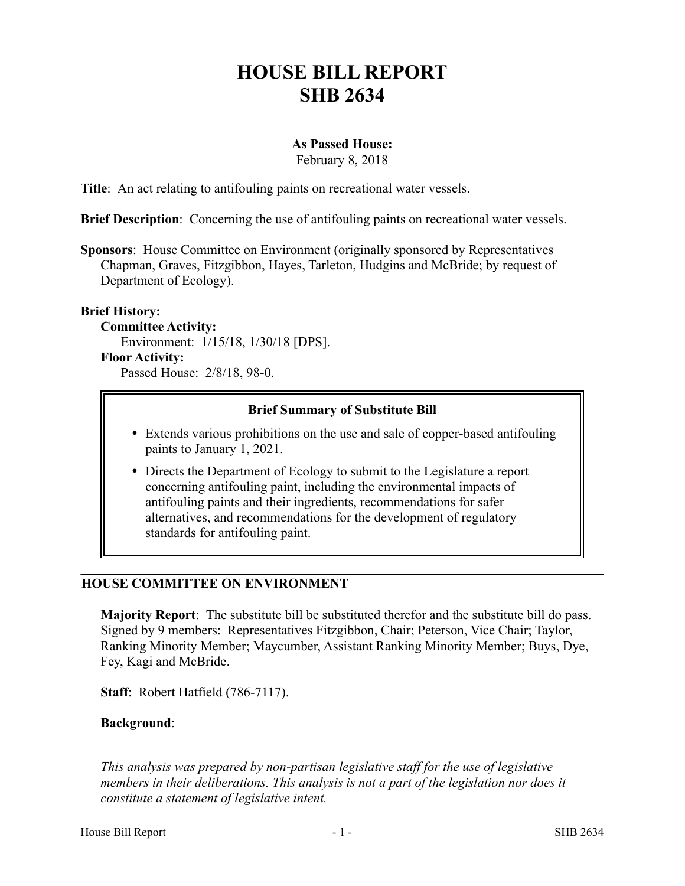# **HOUSE BILL REPORT SHB 2634**

#### **As Passed House:**

February 8, 2018

**Title**: An act relating to antifouling paints on recreational water vessels.

**Brief Description**: Concerning the use of antifouling paints on recreational water vessels.

**Sponsors**: House Committee on Environment (originally sponsored by Representatives Chapman, Graves, Fitzgibbon, Hayes, Tarleton, Hudgins and McBride; by request of Department of Ecology).

# **Brief History:**

#### **Committee Activity:**

Environment: 1/15/18, 1/30/18 [DPS].

#### **Floor Activity:**

Passed House: 2/8/18, 98-0.

# **Brief Summary of Substitute Bill**

- Extends various prohibitions on the use and sale of copper-based antifouling paints to January 1, 2021.
- Directs the Department of Ecology to submit to the Legislature a report concerning antifouling paint, including the environmental impacts of antifouling paints and their ingredients, recommendations for safer alternatives, and recommendations for the development of regulatory standards for antifouling paint.

# **HOUSE COMMITTEE ON ENVIRONMENT**

**Majority Report**: The substitute bill be substituted therefor and the substitute bill do pass. Signed by 9 members: Representatives Fitzgibbon, Chair; Peterson, Vice Chair; Taylor, Ranking Minority Member; Maycumber, Assistant Ranking Minority Member; Buys, Dye, Fey, Kagi and McBride.

**Staff**: Robert Hatfield (786-7117).

#### **Background**:

––––––––––––––––––––––

*This analysis was prepared by non-partisan legislative staff for the use of legislative members in their deliberations. This analysis is not a part of the legislation nor does it constitute a statement of legislative intent.*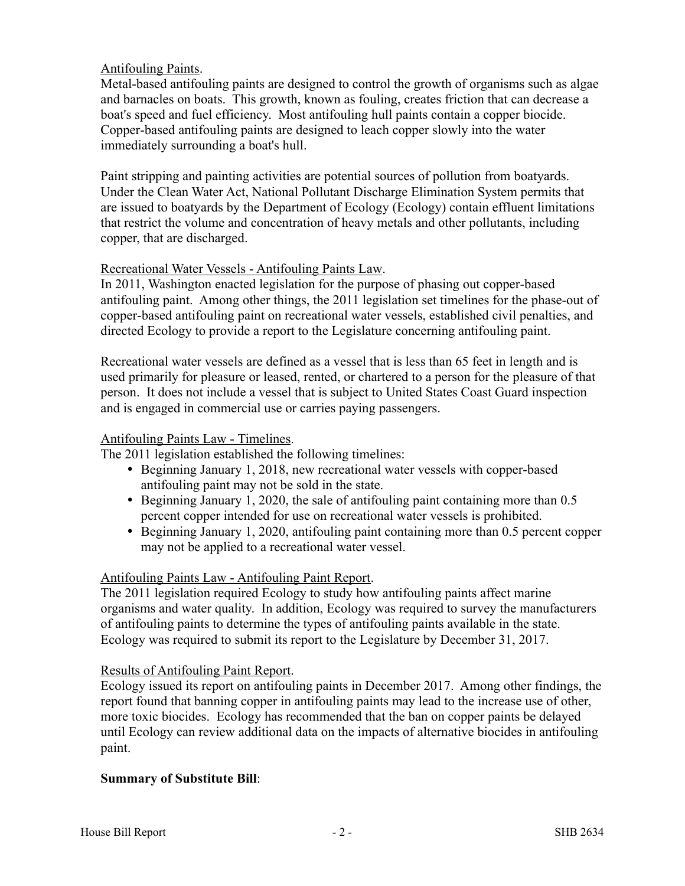# Antifouling Paints.

Metal-based antifouling paints are designed to control the growth of organisms such as algae and barnacles on boats. This growth, known as fouling, creates friction that can decrease a boat's speed and fuel efficiency. Most antifouling hull paints contain a copper biocide. Copper-based antifouling paints are designed to leach copper slowly into the water immediately surrounding a boat's hull.

Paint stripping and painting activities are potential sources of pollution from boatyards. Under the Clean Water Act, National Pollutant Discharge Elimination System permits that are issued to boatyards by the Department of Ecology (Ecology) contain effluent limitations that restrict the volume and concentration of heavy metals and other pollutants, including copper, that are discharged.

# Recreational Water Vessels - Antifouling Paints Law.

In 2011, Washington enacted legislation for the purpose of phasing out copper-based antifouling paint. Among other things, the 2011 legislation set timelines for the phase-out of copper-based antifouling paint on recreational water vessels, established civil penalties, and directed Ecology to provide a report to the Legislature concerning antifouling paint.

Recreational water vessels are defined as a vessel that is less than 65 feet in length and is used primarily for pleasure or leased, rented, or chartered to a person for the pleasure of that person. It does not include a vessel that is subject to United States Coast Guard inspection and is engaged in commercial use or carries paying passengers.

#### Antifouling Paints Law - Timelines.

The 2011 legislation established the following timelines:

- Beginning January 1, 2018, new recreational water vessels with copper-based antifouling paint may not be sold in the state.
- Beginning January 1, 2020, the sale of antifouling paint containing more than 0.5 percent copper intended for use on recreational water vessels is prohibited.
- Beginning January 1, 2020, antifouling paint containing more than 0.5 percent copper may not be applied to a recreational water vessel.

# Antifouling Paints Law - Antifouling Paint Report.

The 2011 legislation required Ecology to study how antifouling paints affect marine organisms and water quality. In addition, Ecology was required to survey the manufacturers of antifouling paints to determine the types of antifouling paints available in the state. Ecology was required to submit its report to the Legislature by December 31, 2017.

# Results of Antifouling Paint Report.

Ecology issued its report on antifouling paints in December 2017. Among other findings, the report found that banning copper in antifouling paints may lead to the increase use of other, more toxic biocides. Ecology has recommended that the ban on copper paints be delayed until Ecology can review additional data on the impacts of alternative biocides in antifouling paint.

# **Summary of Substitute Bill**: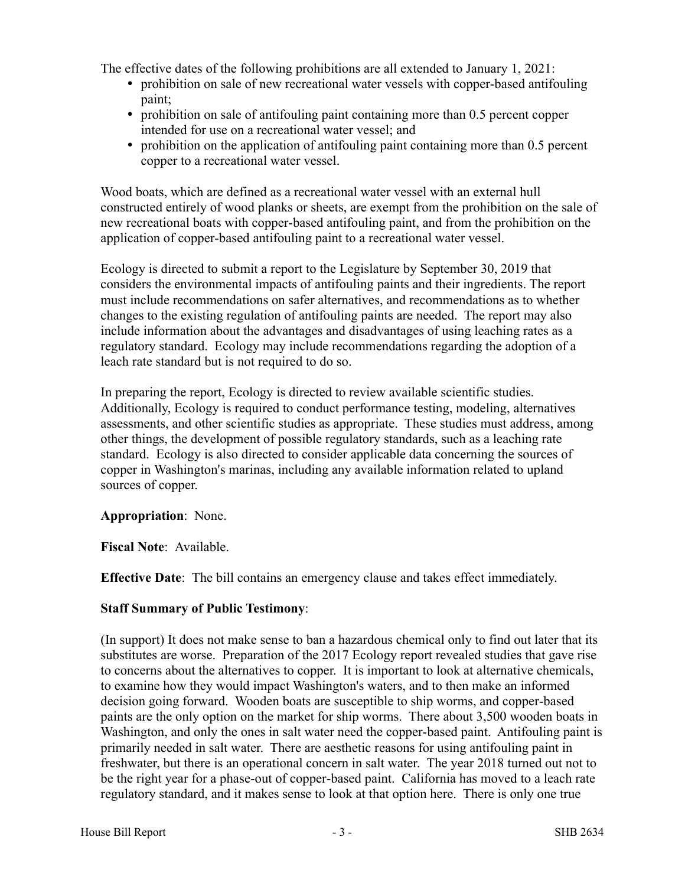The effective dates of the following prohibitions are all extended to January 1, 2021:

- prohibition on sale of new recreational water vessels with copper-based antifouling paint;
- prohibition on sale of antifouling paint containing more than 0.5 percent copper intended for use on a recreational water vessel; and
- prohibition on the application of antifouling paint containing more than 0.5 percent copper to a recreational water vessel.

Wood boats, which are defined as a recreational water vessel with an external hull constructed entirely of wood planks or sheets, are exempt from the prohibition on the sale of new recreational boats with copper-based antifouling paint, and from the prohibition on the application of copper-based antifouling paint to a recreational water vessel.

Ecology is directed to submit a report to the Legislature by September 30, 2019 that considers the environmental impacts of antifouling paints and their ingredients. The report must include recommendations on safer alternatives, and recommendations as to whether changes to the existing regulation of antifouling paints are needed. The report may also include information about the advantages and disadvantages of using leaching rates as a regulatory standard. Ecology may include recommendations regarding the adoption of a leach rate standard but is not required to do so.

In preparing the report, Ecology is directed to review available scientific studies. Additionally, Ecology is required to conduct performance testing, modeling, alternatives assessments, and other scientific studies as appropriate. These studies must address, among other things, the development of possible regulatory standards, such as a leaching rate standard. Ecology is also directed to consider applicable data concerning the sources of copper in Washington's marinas, including any available information related to upland sources of copper.

**Appropriation**: None.

**Fiscal Note**: Available.

**Effective Date**: The bill contains an emergency clause and takes effect immediately.

# **Staff Summary of Public Testimony**:

(In support) It does not make sense to ban a hazardous chemical only to find out later that its substitutes are worse. Preparation of the 2017 Ecology report revealed studies that gave rise to concerns about the alternatives to copper. It is important to look at alternative chemicals, to examine how they would impact Washington's waters, and to then make an informed decision going forward. Wooden boats are susceptible to ship worms, and copper-based paints are the only option on the market for ship worms. There about 3,500 wooden boats in Washington, and only the ones in salt water need the copper-based paint. Antifouling paint is primarily needed in salt water. There are aesthetic reasons for using antifouling paint in freshwater, but there is an operational concern in salt water. The year 2018 turned out not to be the right year for a phase-out of copper-based paint. California has moved to a leach rate regulatory standard, and it makes sense to look at that option here. There is only one true